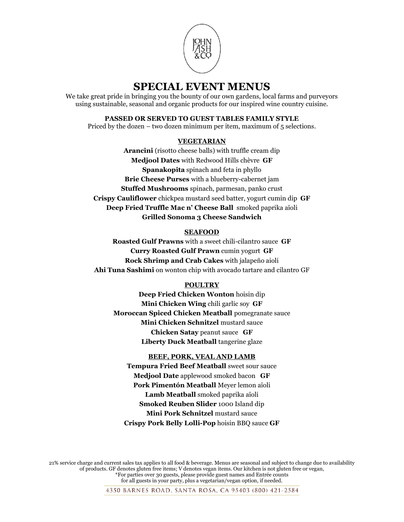

We take great pride in bringing you the bounty of our own gardens, local farms and purveyors using sustainable, seasonal and organic products for our inspired wine country cuisine.

## **PASSED OR SERVED TO GUEST TABLES FAMILY STYLE**

Priced by the dozen – two dozen minimum per item, maximum of 5 selections.

## **VEGETARIAN**

**Arancini** (risotto cheese balls) with truffle cream dip **Medjool Dates** with Redwood Hills chèvre **GF Spanakopita** spinach and feta in phyllo **Brie Cheese Purses** with a blueberry-cabernet jam **Stuffed Mushrooms** spinach, parmesan, panko crust **Crispy Cauliflower** chickpea mustard seed batter, yogurt cumin dip **GF Deep Fried Truffle Mac n' Cheese Ball** smoked paprika aïoli **Grilled Sonoma 3 Cheese Sandwich**

## **SEAFOOD**

**Roasted Gulf Prawns** with a sweet chili-cilantro sauce **GF Curry Roasted Gulf Prawn** cumin yogurt **GF Rock Shrimp and Crab Cakes** with jalapeño aioli **Ahi Tuna Sashimi** on wonton chip with avocado tartare and cilantro GF

# **POULTRY**

**Deep Fried Chicken Wonton** hoisin dip **Mini Chicken Wing** chili garlic soy **GF Moroccan Spiced Chicken Meatball** pomegranate sauce **Mini Chicken Schnitzel** mustard sauce **Chicken Satay** peanut sauce **GF Liberty Duck Meatball** tangerine glaze

# **BEEF, PORK, VEAL AND LAMB**

**Tempura Fried Beef Meatball** sweet sour sauce **Medjool Date** applewood smoked bacon **GF Pork Pimentón Meatball** Meyer lemon aïoli **Lamb Meatball** smoked paprika aïoli **Smoked Reuben Slider** 1000 Island dip **Mini Pork Schnitzel** mustard sauce **Crispy Pork Belly Lolli-Pop** hoisin BBQ sauce **GF**

21% service charge and current sales tax applies to all food & beverage. Menus are seasonal and subject to change due to availability of products. GF denotes gluten free items; V denotes vegan items. Our kitchen is not gluten free or vegan, \*For parties over 30 guests, please provide guest names and Entrée counts for all guests in your party, plus a vegetarian/vegan option, if needed.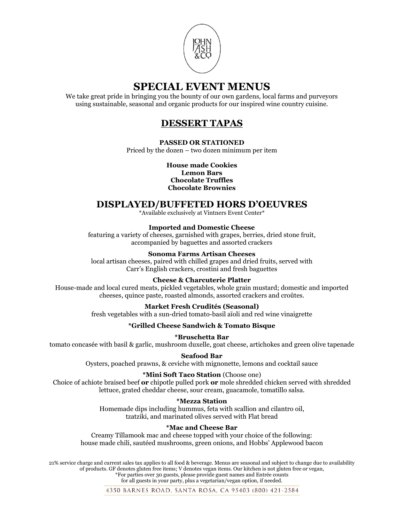

We take great pride in bringing you the bounty of our own gardens, local farms and purveyors using sustainable, seasonal and organic products for our inspired wine country cuisine.

# **DESSERT TAPAS**

## **PASSED OR STATIONED**

Priced by the dozen – two dozen minimum per item

**House made Cookies Lemon Bars Chocolate Truffles Chocolate Brownies**

# **DISPLAYED/BUFFETED HORS D'OEUVRES**

\*Available exclusively at Vintners Event Center\*

## **Imported and Domestic Cheese**

featuring a variety of cheeses, garnished with grapes, berries, dried stone fruit, accompanied by baguettes and assorted crackers

## **Sonoma Farms Artisan Cheeses**

local artisan cheeses, paired with chilled grapes and dried fruits, served with Carr's English crackers, crostini and fresh baguettes

## **Cheese & Charcuterie Platter**

House-made and local cured meats, pickled vegetables, whole grain mustard; domestic and imported cheeses, quince paste, roasted almonds, assorted crackers and croûtes.

## **Market Fresh Crudités (Seasonal)**

fresh vegetables with a sun-dried tomato-basil aïoli and red wine vinaigrette

## **\*Grilled Cheese Sandwich & Tomato Bisque**

### **\*Bruschetta Bar**

tomato concasée with basil & garlic, mushroom duxelle, goat cheese, artichokes and green olive tapenade

**Seafood Bar**

Oysters, poached prawns, & ceviche with mignonette, lemons and cocktail sauce

### **\*Mini Soft Taco Station** (Choose one)

Choice of achiote braised beef **or** chipotle pulled pork **or** mole shredded chicken served with shredded lettuce, grated cheddar cheese, sour cream, guacamole, tomatillo salsa.

### **\*Mezza Station**

Homemade dips including hummus, feta with scallion and cilantro oil, tzatziki, and marinated olives served with Flat bread

## **\*Mac and Cheese Bar**

Creamy Tillamook mac and cheese topped with your choice of the following: house made chili, sautéed mushrooms, green onions, and Hobbs' Applewood bacon

21% service charge and current sales tax applies to all food & beverage. Menus are seasonal and subject to change due to availability of products. GF denotes gluten free items; V denotes vegan items. Our kitchen is not gluten free or vegan, \*For parties over 30 guests, please provide guest names and Entrée counts

for all guests in your party, plus a vegetarian/vegan option, if needed.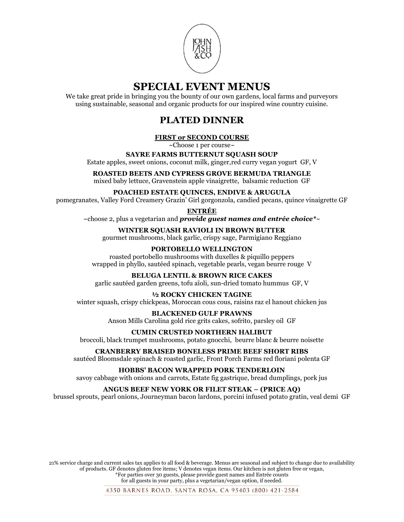

We take great pride in bringing you the bounty of our own gardens, local farms and purveyors using sustainable, seasonal and organic products for our inspired wine country cuisine.

# **PLATED DINNER**

# **FIRST or SECOND COURSE**

~Choose 1 per course~

## **SAYRE FARMS BUTTERNUT SQUASH SOUP**

Estate apples, sweet onions, coconut milk, ginger,red curry vegan yogurt GF, V

#### **ROASTED BEETS AND CYPRESS GROVE BERMUDA TRIANGLE** mixed baby lettuce, Gravenstein apple vinaigrette, balsamic reduction GF

# **POACHED ESTATE QUINCES, ENDIVE & ARUGULA**

pomegranates, Valley Ford Creamery Grazin' Girl gorgonzola, candied pecans, quince vinaigrette GF

## **ENTRÉE**

~choose 2, plus a vegetarian and *provide guest names and entrée choice\**~

# **WINTER SQUASH RAVIOLI IN BROWN BUTTER**

gourmet mushrooms, black garlic, crispy sage, Parmigiano Reggiano

## **PORTOBELLO WELLINGTON**

roasted portobello mushrooms with duxelles & piquillo peppers wrapped in phyllo, sautéed spinach, vegetable pearls, vegan beurre rouge V

## **BELUGA LENTIL & BROWN RICE CAKES**

garlic sautéed garden greens, tofu aïoli, sun-dried tomato hummus GF, V

## **½ ROCKY CHICKEN TAGINE**

winter squash, crispy chickpeas, Moroccan cous cous, raisins raz el hanout chicken jus

### **BLACKENED GULF PRAWNS**

Anson Mills Carolina gold rice grits cakes, sofrito, parsley oil GF

## **CUMIN CRUSTED NORTHERN HALIBUT**

broccoli, black trumpet mushrooms, potato gnocchi, beurre blanc & beurre noisette

## **CRANBERRY BRAISED BONELESS PRIME BEEF SHORT RIBS**

sautéed Bloomsdale spinach & roasted garlic, Front Porch Farms red floriani polenta GF

## **HOBBS' BACON WRAPPED PORK TENDERLOIN**

savoy cabbage with onions and carrots, Estate fig gastrique, bread dumplings, pork jus

## **ANGUS BEEF NEW YORK OR FILET STEAK – (PRICE AQ)**

brussel sprouts, pearl onions, Journeyman bacon lardons, porcini infused potato gratin, veal demi GF

21% service charge and current sales tax applies to all food & beverage. Menus are seasonal and subject to change due to availability of products. GF denotes gluten free items; V denotes vegan items. Our kitchen is not gluten free or vegan, \*For parties over 30 guests, please provide guest names and Entrée counts

for all guests in your party, plus a vegetarian/vegan option, if needed.